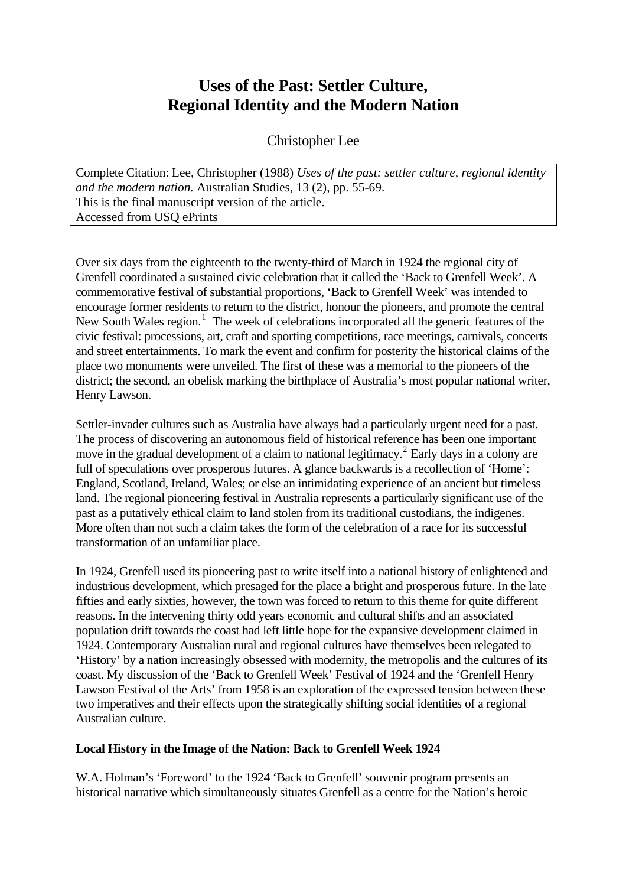# **Uses of the Past: Settler Culture, Regional Identity and the Modern Nation**

Christopher Lee

Complete Citation: Lee, Christopher (1988) *Uses of the past: settler culture, regional identity and the modern nation.* Australian Studies, 13 (2), pp. 55-69. This is the final manuscript version of the article. Accessed from USQ ePrints

Over six days from the eighteenth to the twenty-third of March in 1924 the regional city of Grenfell coordinated a sustained civic celebration that it called the 'Back to Grenfell Week'. A commemorative festival of substantial proportions, 'Back to Grenfell Week' was intended to encourage former residents to return to the district, honour the pioneers, and promote the central New South Wales region.<sup>[1](#page-11-0)</sup> The week of celebrations incorporated all the generic features of the civic festival: processions, art, craft and sporting competitions, race meetings, carnivals, concerts and street entertainments. To mark the event and confirm for posterity the historical claims of the place two monuments were unveiled. The first of these was a memorial to the pioneers of the district; the second, an obelisk marking the birthplace of Australia's most popular national writer, Henry Lawson.

Settler-invader cultures such as Australia have always had a particularly urgent need for a past. The process of discovering an autonomous field of historical reference has been one important move in the gradual development of a claim to national legitimacy.<sup>[2](#page-11-1)</sup> Early days in a colony are full of speculations over prosperous futures. A glance backwards is a recollection of 'Home': England, Scotland, Ireland, Wales; or else an intimidating experience of an ancient but timeless land. The regional pioneering festival in Australia represents a particularly significant use of the past as a putatively ethical claim to land stolen from its traditional custodians, the indigenes. More often than not such a claim takes the form of the celebration of a race for its successful transformation of an unfamiliar place.

In 1924, Grenfell used its pioneering past to write itself into a national history of enlightened and industrious development, which presaged for the place a bright and prosperous future. In the late fifties and early sixties, however, the town was forced to return to this theme for quite different reasons. In the intervening thirty odd years economic and cultural shifts and an associated population drift towards the coast had left little hope for the expansive development claimed in 1924. Contemporary Australian rural and regional cultures have themselves been relegated to 'History' by a nation increasingly obsessed with modernity, the metropolis and the cultures of its coast. My discussion of the 'Back to Grenfell Week' Festival of 1924 and the 'Grenfell Henry Lawson Festival of the Arts' from 1958 is an exploration of the expressed tension between these two imperatives and their effects upon the strategically shifting social identities of a regional Australian culture.

## **Local History in the Image of the Nation: Back to Grenfell Week 1924**

W.A. Holman's 'Foreword' to the 1924 'Back to Grenfell' souvenir program presents an historical narrative which simultaneously situates Grenfell as a centre for the Nation's heroic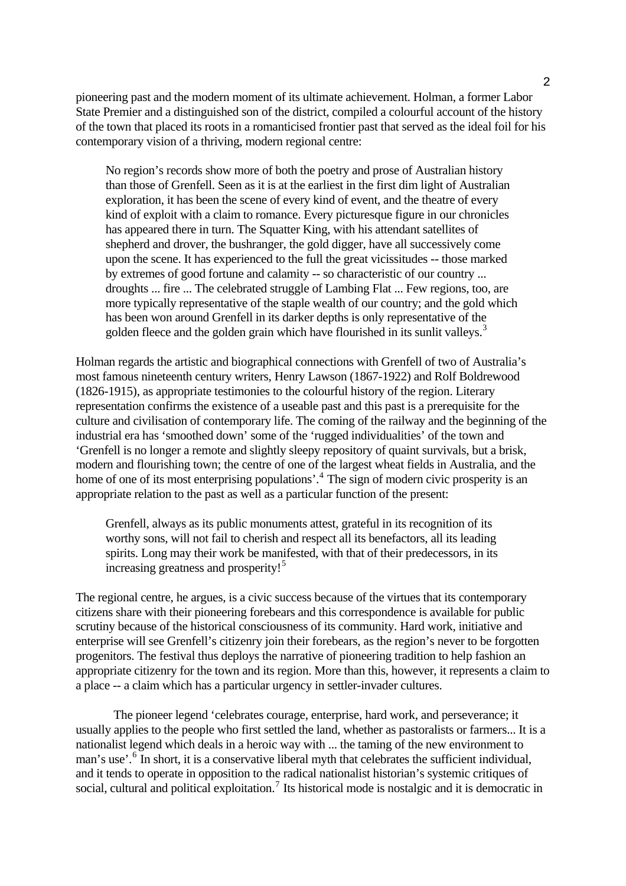pioneering past and the modern moment of its ultimate achievement. Holman, a former Labor State Premier and a distinguished son of the district, compiled a colourful account of the history of the town that placed its roots in a romanticised frontier past that served as the ideal foil for his contemporary vision of a thriving, modern regional centre:

No region's records show more of both the poetry and prose of Australian history than those of Grenfell. Seen as it is at the earliest in the first dim light of Australian exploration, it has been the scene of every kind of event, and the theatre of every kind of exploit with a claim to romance. Every picturesque figure in our chronicles has appeared there in turn. The Squatter King, with his attendant satellites of shepherd and drover, the bushranger, the gold digger, have all successively come upon the scene. It has experienced to the full the great vicissitudes -- those marked by extremes of good fortune and calamity -- so characteristic of our country ... droughts ... fire ... The celebrated struggle of Lambing Flat ... Few regions, too, are more typically representative of the staple wealth of our country; and the gold which has been won around Grenfell in its darker depths is only representative of the golden fleece and the golden grain which have flourished in its sunlit valleys.<sup>[3](#page-11-1)</sup>

Holman regards the artistic and biographical connections with Grenfell of two of Australia's most famous nineteenth century writers, Henry Lawson (1867-1922) and Rolf Boldrewood (1826-1915), as appropriate testimonies to the colourful history of the region. Literary representation confirms the existence of a useable past and this past is a prerequisite for the culture and civilisation of contemporary life. The coming of the railway and the beginning of the industrial era has 'smoothed down' some of the 'rugged individualities' of the town and 'Grenfell is no longer a remote and slightly sleepy repository of quaint survivals, but a brisk, modern and flourishing town; the centre of one of the largest wheat fields in Australia, and the home of one of its most enterprising populations'.<sup>[4](#page-11-1)</sup> The sign of modern civic prosperity is an appropriate relation to the past as well as a particular function of the present:

Grenfell, always as its public monuments attest, grateful in its recognition of its worthy sons, will not fail to cherish and respect all its benefactors, all its leading spirits. Long may their work be manifested, with that of their predecessors, in its increasing greatness and prosperity!<sup>[5](#page-11-1)</sup>

The regional centre, he argues, is a civic success because of the virtues that its contemporary citizens share with their pioneering forebears and this correspondence is available for public scrutiny because of the historical consciousness of its community. Hard work, initiative and enterprise will see Grenfell's citizenry join their forebears, as the region's never to be forgotten progenitors. The festival thus deploys the narrative of pioneering tradition to help fashion an appropriate citizenry for the town and its region. More than this, however, it represents a claim to a place -- a claim which has a particular urgency in settler-invader cultures.

 The pioneer legend 'celebrates courage, enterprise, hard work, and perseverance; it usually applies to the people who first settled the land, whether as pastoralists or farmers... It is a nationalist legend which deals in a heroic way with ... the taming of the new environment to man's use'.<sup>[6](#page-11-1)</sup> In short, it is a conservative liberal myth that celebrates the sufficient individual, and it tends to operate in opposition to the radical nationalist historian's systemic critiques of social, cultural and political exploitation.<sup>[7](#page-11-1)</sup> Its historical mode is nostalgic and it is democratic in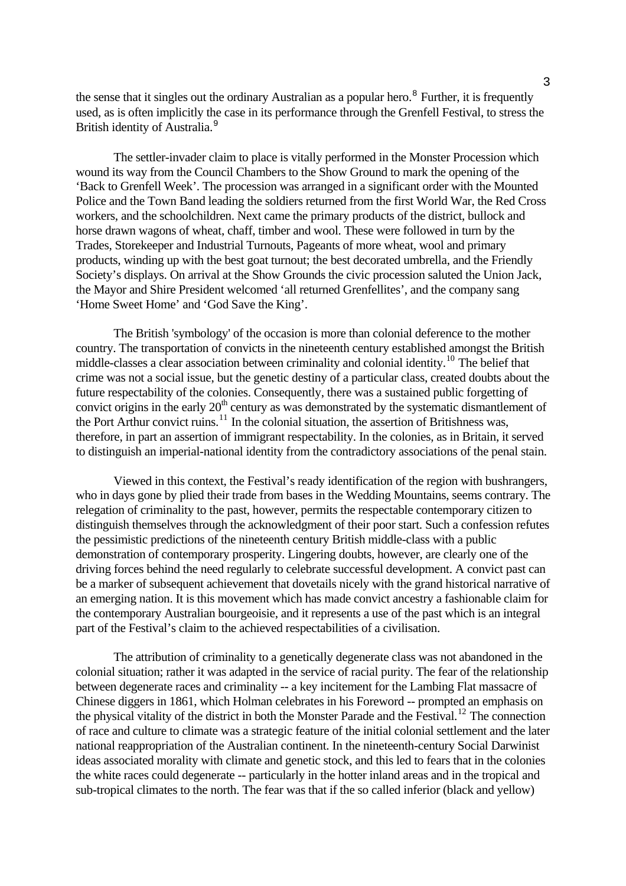the sense that it singles out the ordinary Australian as a popular hero.<sup>[8](#page-11-1)</sup> Further, it is frequently used, as is often implicitly the case in its performance through the Grenfell Festival, to stress the British identity of Australia.<sup>[9](#page-11-1)</sup>

 The settler-invader claim to place is vitally performed in the Monster Procession which wound its way from the Council Chambers to the Show Ground to mark the opening of the 'Back to Grenfell Week'. The procession was arranged in a significant order with the Mounted Police and the Town Band leading the soldiers returned from the first World War, the Red Cross workers, and the schoolchildren. Next came the primary products of the district, bullock and horse drawn wagons of wheat, chaff, timber and wool. These were followed in turn by the Trades, Storekeeper and Industrial Turnouts, Pageants of more wheat, wool and primary products, winding up with the best goat turnout; the best decorated umbrella, and the Friendly Society's displays. On arrival at the Show Grounds the civic procession saluted the Union Jack, the Mayor and Shire President welcomed 'all returned Grenfellites', and the company sang 'Home Sweet Home' and 'God Save the King'.

 The British 'symbology' of the occasion is more than colonial deference to the mother country. The transportation of convicts in the nineteenth century established amongst the British middle-classes a clear association between criminality and colonial identity.<sup>[10](#page-11-1)</sup> The belief that crime was not a social issue, but the genetic destiny of a particular class, created doubts about the future respectability of the colonies. Consequently, there was a sustained public forgetting of convict origins in the early  $20<sup>th</sup>$  century as was demonstrated by the systematic dismantlement of the Port Arthur convict ruins.<sup>[11](#page-11-1)</sup> In the colonial situation, the assertion of Britishness was, therefore, in part an assertion of immigrant respectability. In the colonies, as in Britain, it served to distinguish an imperial-national identity from the contradictory associations of the penal stain.

 Viewed in this context, the Festival's ready identification of the region with bushrangers, who in days gone by plied their trade from bases in the Wedding Mountains, seems contrary. The relegation of criminality to the past, however, permits the respectable contemporary citizen to distinguish themselves through the acknowledgment of their poor start. Such a confession refutes the pessimistic predictions of the nineteenth century British middle-class with a public demonstration of contemporary prosperity. Lingering doubts, however, are clearly one of the driving forces behind the need regularly to celebrate successful development. A convict past can be a marker of subsequent achievement that dovetails nicely with the grand historical narrative of an emerging nation. It is this movement which has made convict ancestry a fashionable claim for the contemporary Australian bourgeoisie, and it represents a use of the past which is an integral part of the Festival's claim to the achieved respectabilities of a civilisation.

 The attribution of criminality to a genetically degenerate class was not abandoned in the colonial situation; rather it was adapted in the service of racial purity. The fear of the relationship between degenerate races and criminality -- a key incitement for the Lambing Flat massacre of Chinese diggers in 1861, which Holman celebrates in his Foreword -- prompted an emphasis on the physical vitality of the district in both the Monster Parade and the Festival.<sup>[12](#page-11-1)</sup> The connection of race and culture to climate was a strategic feature of the initial colonial settlement and the later national reappropriation of the Australian continent. In the nineteenth-century Social Darwinist ideas associated morality with climate and genetic stock, and this led to fears that in the colonies the white races could degenerate -- particularly in the hotter inland areas and in the tropical and sub-tropical climates to the north. The fear was that if the so called inferior (black and yellow)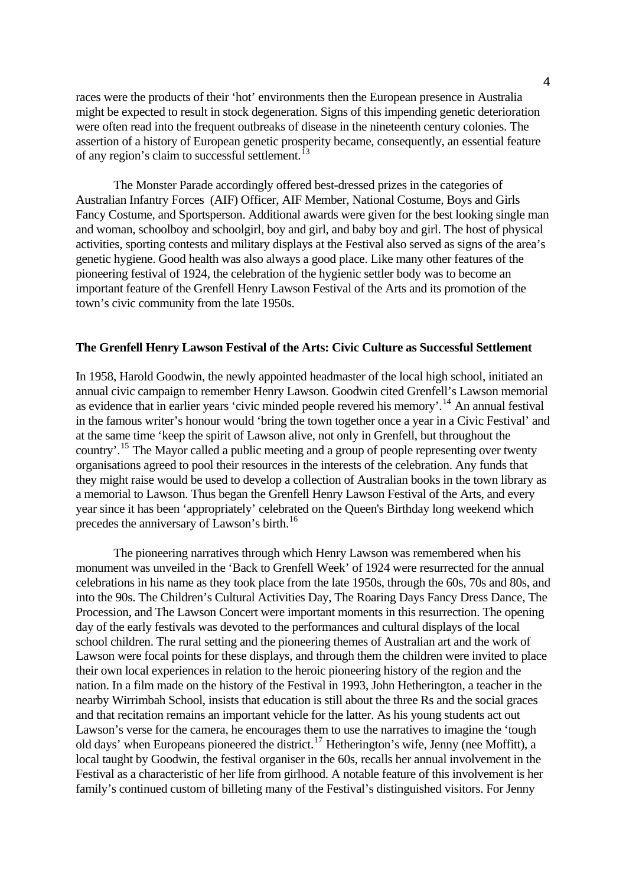races were the products of their 'hot' environments then the European presence in Australia might be expected to result in stock degeneration. Signs of this impending genetic deterioration were often read into the frequent outbreaks of disease in the nineteenth century colonies. The assertion of a history of European genetic prosperity became, consequently, an essential feature of any region's claim to successful settlement.<sup>1</sup>

 The Monster Parade accordingly offered best-dressed prizes in the categories of Australian Infantry Forces (AIF) Officer, AIF Member, National Costume, Boys and Girls Fancy Costume, and Sportsperson. Additional awards were given for the best looking single man and woman, schoolboy and schoolgirl, boy and girl, and baby boy and girl. The host of physical activities, sporting contests and military displays at the Festival also served as signs of the area's genetic hygiene. Good health was also always a good place. Like many other features of the pioneering festival of 1924, the celebration of the hygienic settler body was to become an important feature of the Grenfell Henry Lawson Festival of the Arts and its promotion of the town's civic community from the late 1950s.

#### **The Grenfell Henry Lawson Festival of the Arts: Civic Culture as Successful Settlement**

In 1958, Harold Goodwin, the newly appointed headmaster of the local high school, initiated an annual civic campaign to remember Henry Lawson. Goodwin cited Grenfell's Lawson memorial as evidence that in earlier years 'civic minded people revered his memory'.<sup>[14](#page-11-1)</sup> An annual festival in the famous writer's honour would 'bring the town together once a year in a Civic Festival' and at the same time 'keep the spirit of Lawson alive, not only in Grenfell, but throughout the country'.<sup>[15](#page-11-1)</sup> The Mayor called a public meeting and a group of people representing over twenty organisations agreed to pool their resources in the interests of the celebration. Any funds that they might raise would be used to develop a collection of Australian books in the town library as a memorial to Lawson. Thus began the Grenfell Henry Lawson Festival of the Arts, and every year since it has been 'appropriately' celebrated on the Queen's Birthday long weekend which precedes the anniversary of Lawson's birth.<sup>[16](#page-11-1)</sup>

 The pioneering narratives through which Henry Lawson was remembered when his monument was unveiled in the 'Back to Grenfell Week' of 1924 were resurrected for the annual celebrations in his name as they took place from the late 1950s, through the 60s, 70s and 80s, and into the 90s. The Children's Cultural Activities Day, The Roaring Days Fancy Dress Dance, The Procession, and The Lawson Concert were important moments in this resurrection. The opening day of the early festivals was devoted to the performances and cultural displays of the local school children. The rural setting and the pioneering themes of Australian art and the work of Lawson were focal points for these displays, and through them the children were invited to place their own local experiences in relation to the heroic pioneering history of the region and the nation. In a film made on the history of the Festival in 1993, John Hetherington, a teacher in the nearby Wirrimbah School, insists that education is still about the three Rs and the social graces and that recitation remains an important vehicle for the latter. As his young students act out Lawson's verse for the camera, he encourages them to use the narratives to imagine the 'tough old days' when Europeans pioneered the district.<sup>[17](#page-11-1)</sup> Hetherington's wife, Jenny (nee Moffitt), a local taught by Goodwin, the festival organiser in the 60s, recalls her annual involvement in the Festival as a characteristic of her life from girlhood. A notable feature of this involvement is her family's continued custom of billeting many of the Festival's distinguished visitors. For Jenny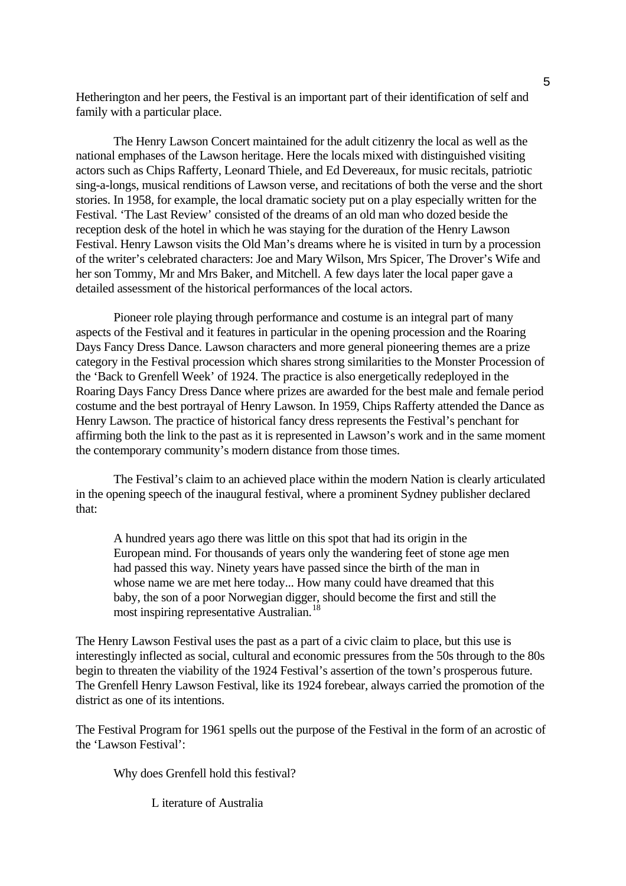Hetherington and her peers, the Festival is an important part of their identification of self and family with a particular place.

 The Henry Lawson Concert maintained for the adult citizenry the local as well as the national emphases of the Lawson heritage. Here the locals mixed with distinguished visiting actors such as Chips Rafferty, Leonard Thiele, and Ed Devereaux, for music recitals, patriotic sing-a-longs, musical renditions of Lawson verse, and recitations of both the verse and the short stories. In 1958, for example, the local dramatic society put on a play especially written for the Festival. 'The Last Review' consisted of the dreams of an old man who dozed beside the reception desk of the hotel in which he was staying for the duration of the Henry Lawson Festival. Henry Lawson visits the Old Man's dreams where he is visited in turn by a procession of the writer's celebrated characters: Joe and Mary Wilson, Mrs Spicer, The Drover's Wife and her son Tommy, Mr and Mrs Baker, and Mitchell. A few days later the local paper gave a detailed assessment of the historical performances of the local actors.

 Pioneer role playing through performance and costume is an integral part of many aspects of the Festival and it features in particular in the opening procession and the Roaring Days Fancy Dress Dance. Lawson characters and more general pioneering themes are a prize category in the Festival procession which shares strong similarities to the Monster Procession of the 'Back to Grenfell Week' of 1924. The practice is also energetically redeployed in the Roaring Days Fancy Dress Dance where prizes are awarded for the best male and female period costume and the best portrayal of Henry Lawson. In 1959, Chips Rafferty attended the Dance as Henry Lawson. The practice of historical fancy dress represents the Festival's penchant for affirming both the link to the past as it is represented in Lawson's work and in the same moment the contemporary community's modern distance from those times.

 The Festival's claim to an achieved place within the modern Nation is clearly articulated in the opening speech of the inaugural festival, where a prominent Sydney publisher declared that:

 A hundred years ago there was little on this spot that had its origin in the European mind. For thousands of years only the wandering feet of stone age men had passed this way. Ninety years have passed since the birth of the man in whose name we are met here today... How many could have dreamed that this baby, the son of a poor Norwegian digger, should become the first and still the most inspiring representative Australian.<sup>[18](#page-11-1)</sup>

The Henry Lawson Festival uses the past as a part of a civic claim to place, but this use is interestingly inflected as social, cultural and economic pressures from the 50s through to the 80s begin to threaten the viability of the 1924 Festival's assertion of the town's prosperous future. The Grenfell Henry Lawson Festival, like its 1924 forebear, always carried the promotion of the district as one of its intentions.

The Festival Program for 1961 spells out the purpose of the Festival in the form of an acrostic of the 'Lawson Festival':

Why does Grenfell hold this festival?

L iterature of Australia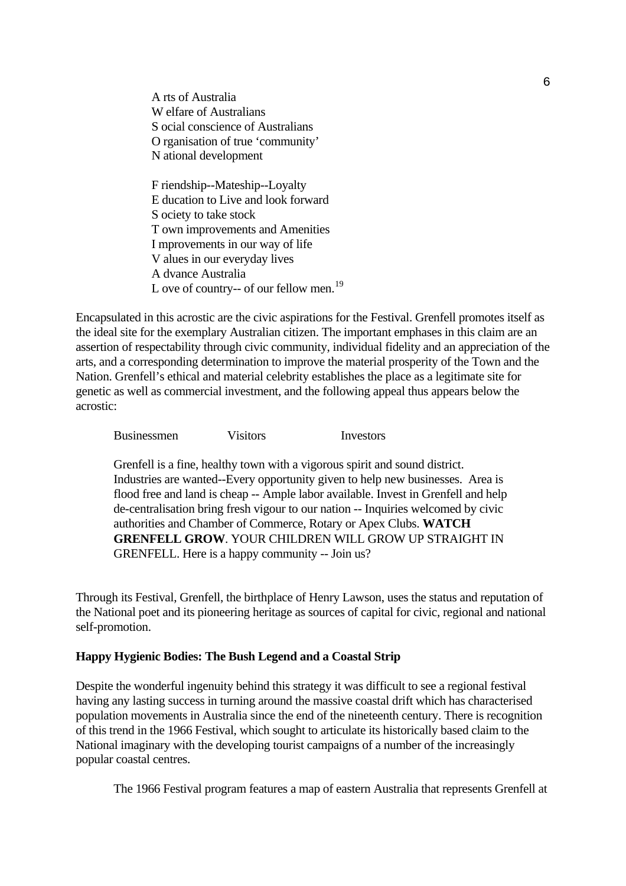A rts of Australia W elfare of Australians S ocial conscience of Australians O rganisation of true 'community' N ational development F riendship--Mateship--Loyalty E ducation to Live and look forward S ociety to take stock T own improvements and Amenities I mprovements in our way of life

 V alues in our everyday lives A dvance Australia L ove of country-- of our fellow men.<sup>[19](#page-11-1)</sup>

Encapsulated in this acrostic are the civic aspirations for the Festival. Grenfell promotes itself as the ideal site for the exemplary Australian citizen. The important emphases in this claim are an assertion of respectability through civic community, individual fidelity and an appreciation of the arts, and a corresponding determination to improve the material prosperity of the Town and the Nation. Grenfell's ethical and material celebrity establishes the place as a legitimate site for genetic as well as commercial investment, and the following appeal thus appears below the acrostic:

Businessmen Visitors Investors

 Grenfell is a fine, healthy town with a vigorous spirit and sound district. Industries are wanted--Every opportunity given to help new businesses. Area is flood free and land is cheap -- Ample labor available. Invest in Grenfell and help de-centralisation bring fresh vigour to our nation -- Inquiries welcomed by civic authorities and Chamber of Commerce, Rotary or Apex Clubs. **WATCH GRENFELL GROW**. YOUR CHILDREN WILL GROW UP STRAIGHT IN GRENFELL. Here is a happy community -- Join us?

Through its Festival, Grenfell, the birthplace of Henry Lawson, uses the status and reputation of the National poet and its pioneering heritage as sources of capital for civic, regional and national self-promotion.

### **Happy Hygienic Bodies: The Bush Legend and a Coastal Strip**

Despite the wonderful ingenuity behind this strategy it was difficult to see a regional festival having any lasting success in turning around the massive coastal drift which has characterised population movements in Australia since the end of the nineteenth century. There is recognition of this trend in the 1966 Festival, which sought to articulate its historically based claim to the National imaginary with the developing tourist campaigns of a number of the increasingly popular coastal centres.

The 1966 Festival program features a map of eastern Australia that represents Grenfell at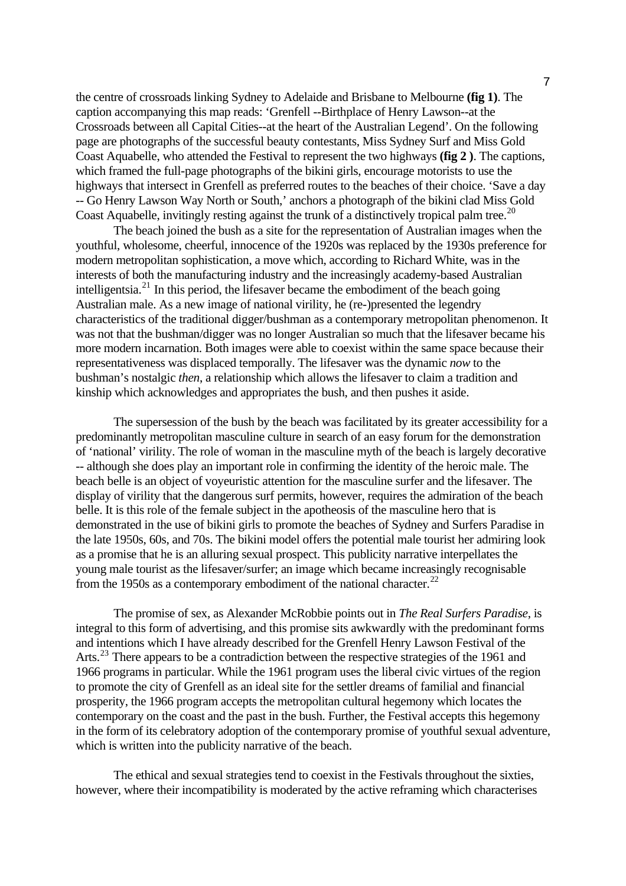the centre of crossroads linking Sydney to Adelaide and Brisbane to Melbourne **(fig 1)**. The caption accompanying this map reads: 'Grenfell --Birthplace of Henry Lawson--at the Crossroads between all Capital Cities--at the heart of the Australian Legend'. On the following page are photographs of the successful beauty contestants, Miss Sydney Surf and Miss Gold Coast Aquabelle, who attended the Festival to represent the two highways **(fig 2 )**. The captions, which framed the full-page photographs of the bikini girls, encourage motorists to use the highways that intersect in Grenfell as preferred routes to the beaches of their choice. 'Save a day -- Go Henry Lawson Way North or South,' anchors a photograph of the bikini clad Miss Gold Coast Aquabelle, invitingly resting against the trunk of a distinctively tropical palm tree.<sup>[20](#page-11-1)</sup>

 The beach joined the bush as a site for the representation of Australian images when the youthful, wholesome, cheerful, innocence of the 1920s was replaced by the 1930s preference for modern metropolitan sophistication, a move which, according to Richard White, was in the interests of both the manufacturing industry and the increasingly academy-based Australian intelligentsia.<sup>[21](#page-11-1)</sup> In this period, the lifesaver became the embodiment of the beach going Australian male. As a new image of national virility, he (re-)presented the legendry characteristics of the traditional digger/bushman as a contemporary metropolitan phenomenon. It was not that the bushman/digger was no longer Australian so much that the lifesaver became his more modern incarnation. Both images were able to coexist within the same space because their representativeness was displaced temporally. The lifesaver was the dynamic *now* to the bushman's nostalgic *then*, a relationship which allows the lifesaver to claim a tradition and kinship which acknowledges and appropriates the bush, and then pushes it aside.

The supersession of the bush by the beach was facilitated by its greater accessibility for a predominantly metropolitan masculine culture in search of an easy forum for the demonstration of 'national' virility. The role of woman in the masculine myth of the beach is largely decorative -- although she does play an important role in confirming the identity of the heroic male. The beach belle is an object of voyeuristic attention for the masculine surfer and the lifesaver. The display of virility that the dangerous surf permits, however, requires the admiration of the beach belle. It is this role of the female subject in the apotheosis of the masculine hero that is demonstrated in the use of bikini girls to promote the beaches of Sydney and Surfers Paradise in the late 1950s, 60s, and 70s. The bikini model offers the potential male tourist her admiring look as a promise that he is an alluring sexual prospect. This publicity narrative interpellates the young male tourist as the lifesaver/surfer; an image which became increasingly recognisable from the 1950s as a contemporary embodiment of the national character.<sup>[22](#page-11-1)</sup>

The promise of sex, as Alexander McRobbie points out in *The Real Surfers Paradise*, is integral to this form of advertising, and this promise sits awkwardly with the predominant forms and intentions which I have already described for the Grenfell Henry Lawson Festival of the Arts.<sup>[23](#page-11-1)</sup> There appears to be a contradiction between the respective strategies of the 1961 and 1966 programs in particular. While the 1961 program uses the liberal civic virtues of the region to promote the city of Grenfell as an ideal site for the settler dreams of familial and financial prosperity, the 1966 program accepts the metropolitan cultural hegemony which locates the contemporary on the coast and the past in the bush. Further, the Festival accepts this hegemony in the form of its celebratory adoption of the contemporary promise of youthful sexual adventure, which is written into the publicity narrative of the beach.

The ethical and sexual strategies tend to coexist in the Festivals throughout the sixties, however, where their incompatibility is moderated by the active reframing which characterises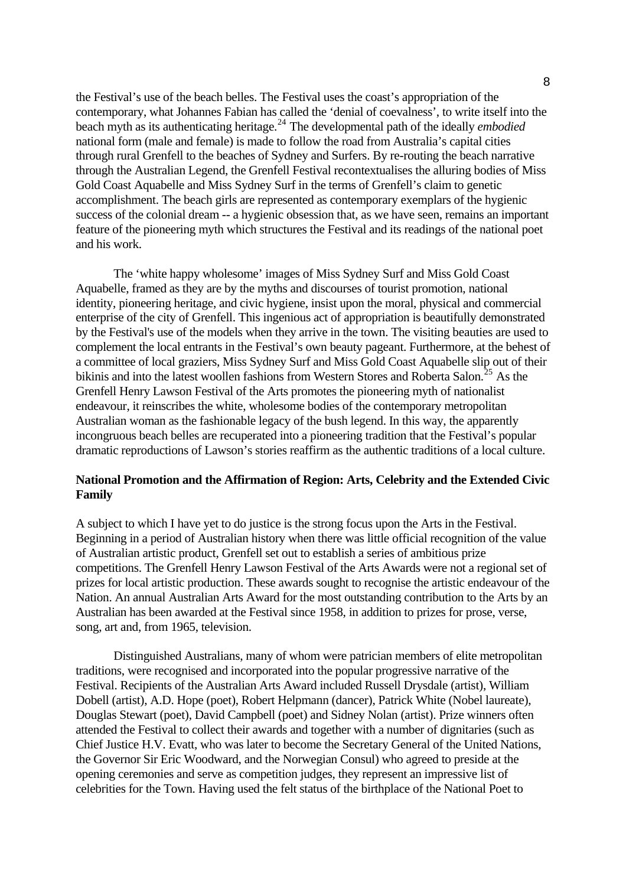the Festival's use of the beach belles. The Festival uses the coast's appropriation of the contemporary, what Johannes Fabian has called the 'denial of coevalness', to write itself into the beach myth as its authenticating heritage.[24](#page-11-1) The developmental path of the ideally *embodied* national form (male and female) is made to follow the road from Australia's capital cities through rural Grenfell to the beaches of Sydney and Surfers. By re-routing the beach narrative through the Australian Legend, the Grenfell Festival recontextualises the alluring bodies of Miss Gold Coast Aquabelle and Miss Sydney Surf in the terms of Grenfell's claim to genetic accomplishment. The beach girls are represented as contemporary exemplars of the hygienic success of the colonial dream -- a hygienic obsession that, as we have seen, remains an important feature of the pioneering myth which structures the Festival and its readings of the national poet and his work.

The 'white happy wholesome' images of Miss Sydney Surf and Miss Gold Coast Aquabelle, framed as they are by the myths and discourses of tourist promotion, national identity, pioneering heritage, and civic hygiene, insist upon the moral, physical and commercial enterprise of the city of Grenfell. This ingenious act of appropriation is beautifully demonstrated by the Festival's use of the models when they arrive in the town. The visiting beauties are used to complement the local entrants in the Festival's own beauty pageant. Furthermore, at the behest of a committee of local graziers, Miss Sydney Surf and Miss Gold Coast Aquabelle slip out of their bikinis and into the latest woollen fashions from Western Stores and Roberta Salon.<sup>[25](#page-11-1)</sup> As the Grenfell Henry Lawson Festival of the Arts promotes the pioneering myth of nationalist endeavour, it reinscribes the white, wholesome bodies of the contemporary metropolitan Australian woman as the fashionable legacy of the bush legend. In this way, the apparently incongruous beach belles are recuperated into a pioneering tradition that the Festival's popular dramatic reproductions of Lawson's stories reaffirm as the authentic traditions of a local culture.

## **National Promotion and the Affirmation of Region: Arts, Celebrity and the Extended Civic Family**

A subject to which I have yet to do justice is the strong focus upon the Arts in the Festival. Beginning in a period of Australian history when there was little official recognition of the value of Australian artistic product, Grenfell set out to establish a series of ambitious prize competitions. The Grenfell Henry Lawson Festival of the Arts Awards were not a regional set of prizes for local artistic production. These awards sought to recognise the artistic endeavour of the Nation. An annual Australian Arts Award for the most outstanding contribution to the Arts by an Australian has been awarded at the Festival since 1958, in addition to prizes for prose, verse, song, art and, from 1965, television.

Distinguished Australians, many of whom were patrician members of elite metropolitan traditions, were recognised and incorporated into the popular progressive narrative of the Festival. Recipients of the Australian Arts Award included Russell Drysdale (artist), William Dobell (artist), A.D. Hope (poet), Robert Helpmann (dancer), Patrick White (Nobel laureate), Douglas Stewart (poet), David Campbell (poet) and Sidney Nolan (artist). Prize winners often attended the Festival to collect their awards and together with a number of dignitaries (such as Chief Justice H.V. Evatt, who was later to become the Secretary General of the United Nations, the Governor Sir Eric Woodward, and the Norwegian Consul) who agreed to preside at the opening ceremonies and serve as competition judges, they represent an impressive list of celebrities for the Town. Having used the felt status of the birthplace of the National Poet to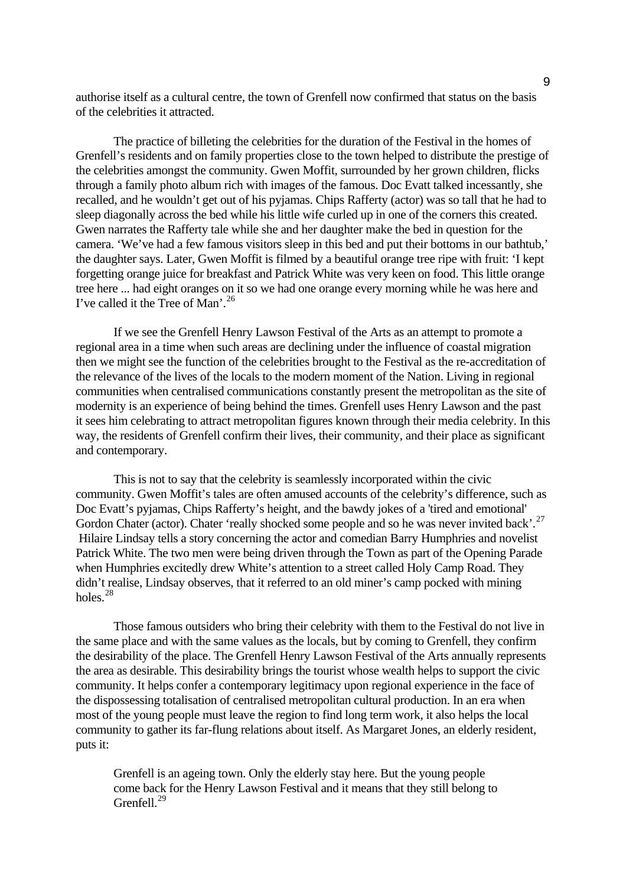authorise itself as a cultural centre, the town of Grenfell now confirmed that status on the basis of the celebrities it attracted.

The practice of billeting the celebrities for the duration of the Festival in the homes of Grenfell's residents and on family properties close to the town helped to distribute the prestige of the celebrities amongst the community. Gwen Moffit, surrounded by her grown children, flicks through a family photo album rich with images of the famous. Doc Evatt talked incessantly, she recalled, and he wouldn't get out of his pyjamas. Chips Rafferty (actor) was so tall that he had to sleep diagonally across the bed while his little wife curled up in one of the corners this created. Gwen narrates the Rafferty tale while she and her daughter make the bed in question for the camera. 'We've had a few famous visitors sleep in this bed and put their bottoms in our bathtub,' the daughter says. Later, Gwen Moffit is filmed by a beautiful orange tree ripe with fruit: 'I kept forgetting orange juice for breakfast and Patrick White was very keen on food. This little orange tree here ... had eight oranges on it so we had one orange every morning while he was here and I've called it the Tree of Man'.<sup>[26](#page-11-1)</sup>

 If we see the Grenfell Henry Lawson Festival of the Arts as an attempt to promote a regional area in a time when such areas are declining under the influence of coastal migration then we might see the function of the celebrities brought to the Festival as the re-accreditation of the relevance of the lives of the locals to the modern moment of the Nation. Living in regional communities when centralised communications constantly present the metropolitan as the site of modernity is an experience of being behind the times. Grenfell uses Henry Lawson and the past it sees him celebrating to attract metropolitan figures known through their media celebrity. In this way, the residents of Grenfell confirm their lives, their community, and their place as significant and contemporary.

 This is not to say that the celebrity is seamlessly incorporated within the civic community. Gwen Moffit's tales are often amused accounts of the celebrity's difference, such as Doc Evatt's pyjamas, Chips Rafferty's height, and the bawdy jokes of a 'tired and emotional' Gordon Chater (actor). Chater 'really shocked some people and so he was never invited back'.<sup>[27](#page-11-1)</sup> Hilaire Lindsay tells a story concerning the actor and comedian Barry Humphries and novelist Patrick White. The two men were being driven through the Town as part of the Opening Parade when Humphries excitedly drew White's attention to a street called Holy Camp Road. They didn't realise, Lindsay observes, that it referred to an old miner's camp pocked with mining holes.[28](#page-11-1)

 Those famous outsiders who bring their celebrity with them to the Festival do not live in the same place and with the same values as the locals, but by coming to Grenfell, they confirm the desirability of the place. The Grenfell Henry Lawson Festival of the Arts annually represents the area as desirable. This desirability brings the tourist whose wealth helps to support the civic community. It helps confer a contemporary legitimacy upon regional experience in the face of the dispossessing totalisation of centralised metropolitan cultural production. In an era when most of the young people must leave the region to find long term work, it also helps the local community to gather its far-flung relations about itself. As Margaret Jones, an elderly resident, puts it:

 Grenfell is an ageing town. Only the elderly stay here. But the young people come back for the Henry Lawson Festival and it means that they still belong to Grenfell.<sup>[29](#page-11-1)</sup>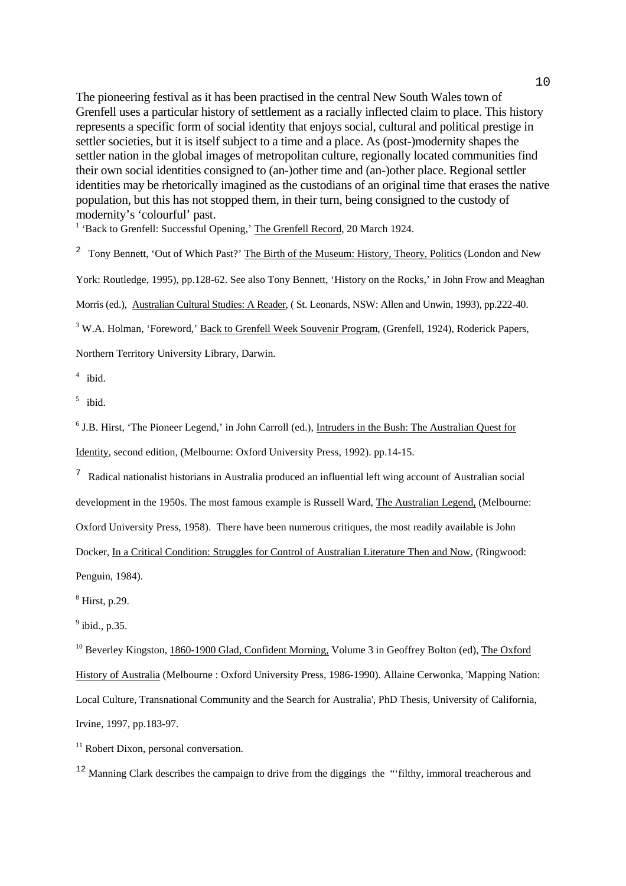modernity's 'colourful' past.<br><sup>1</sup> 'Bask to Grapfall: Suessaful Or The pioneering festival as it has been practised in the central New South Wales town of Grenfell uses a particular history of settlement as a racially inflected claim to place. This history represents a specific form of social identity that enjoys social, cultural and political prestige in settler societies, but it is itself subject to a time and a place. As (post-)modernity shapes the settler nation in the global images of metropolitan culture, regionally located communities find their own social identities consigned to (an-)other time and (an-)other place. Regional settler identities may be rhetorically imagined as the custodians of an original time that erases the native population, but this has not stopped them, in their turn, being consigned to the custody of

<sup>1</sup> 'Back to Grenfell: Successful Opening,' The Grenfell Record, 20 March 1924.

<sup>2</sup> Tony Bennett, 'Out of Which Past?' The Birth of the Museum: History, Theory, Politics (London and New

York: Routledge, 1995), pp.128-62. See also Tony Bennett, 'History on the Rocks,' in John Frow and Meaghan

Morris (ed.), Australian Cultural Studies: A Reader, ( St. Leonards, NSW: Allen and Unwin, 1993), pp.222-40.

<sup>3</sup> W.A. Holman, 'Foreword,' Back to Grenfell Week Souvenir Program, (Grenfell, 1924), Roderick Papers,

Northern Territory University Library, Darwin.

 $4$  ibid.

 $5$  ibid.

<sup>6</sup> J.B. Hirst, 'The Pioneer Legend,' in John Carroll (ed.), Intruders in the Bush: The Australian Quest for Identity, second edition, (Melbourne: Oxford University Press, 1992). pp.14-15.

<sup>7</sup> Radical nationalist historians in Australia produced an influential left wing account of Australian social development in the 1950s. The most famous example is Russell Ward, The Australian Legend, (Melbourne: Oxford University Press, 1958). There have been numerous critiques, the most readily available is John Docker, In a Critical Condition: Struggles for Control of Australian Literature Then and Now, (Ringwood:

Penguin, 1984).

8 Hirst, p.29.

 $<sup>9</sup>$  ibid., p.35.</sup>

<sup>10</sup> Beverley Kingston, 1860-1900 Glad, Confident Morning, Volume 3 in Geoffrey Bolton (ed), The Oxford History of Australia (Melbourne : Oxford University Press, 1986-1990). Allaine Cerwonka, 'Mapping Nation: Local Culture, Transnational Community and the Search for Australia', PhD Thesis, University of California, Irvine, 1997, pp.183-97.

<sup>11</sup> Robert Dixon, personal conversation.

<sup>12</sup> Manning Clark describes the campaign to drive from the diggings the "filthy, immoral treacherous and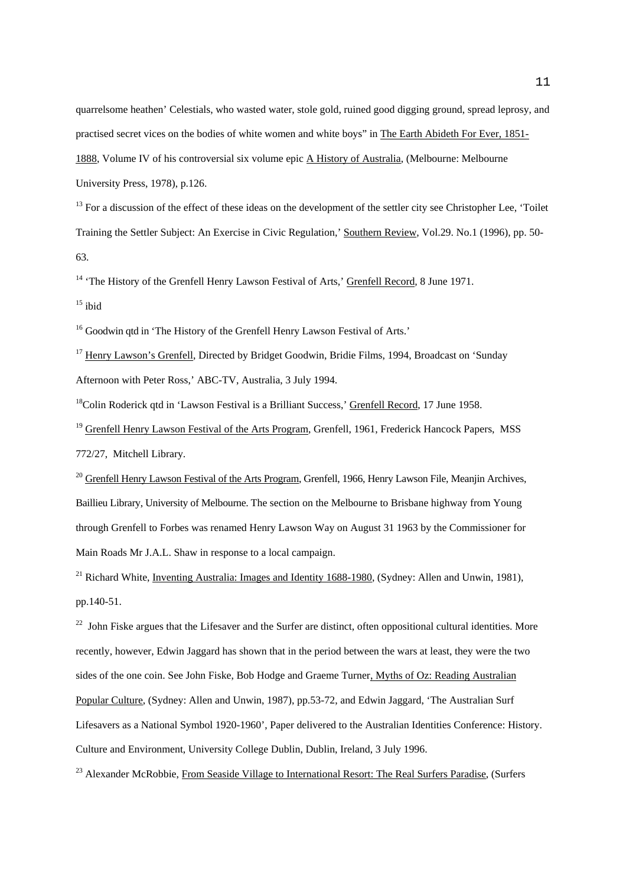quarrelsome heathen' Celestials, who wasted water, stole gold, ruined good digging ground, spread leprosy, and practised secret vices on the bodies of white women and white boys" in The Earth Abideth For Ever, 1851- 1888, Volume IV of his controversial six volume epic A History of Australia, (Melbourne: Melbourne University Press, 1978), p.126.

 $13$  For a discussion of the effect of these ideas on the development of the settler city see Christopher Lee, 'Toilet Training the Settler Subject: An Exercise in Civic Regulation,' Southern Review, Vol.29. No.1 (1996), pp. 50- 63.

<sup>14</sup> 'The History of the Grenfell Henry Lawson Festival of Arts,' Grenfell Record, 8 June 1971.

 $15$  ibid

<sup>16</sup> Goodwin atd in 'The History of the Grenfell Henry Lawson Festival of Arts.'

<sup>17</sup> Henry Lawson's Grenfell, Directed by Bridget Goodwin, Bridie Films, 1994, Broadcast on 'Sunday Afternoon with Peter Ross,' ABC-TV, Australia, 3 July 1994.

<sup>18</sup>Colin Roderick qtd in 'Lawson Festival is a Brilliant Success,' Grenfell Record, 17 June 1958.

<sup>19</sup> Grenfell Henry Lawson Festival of the Arts Program, Grenfell, 1961, Frederick Hancock Papers, MSS 772/27, Mitchell Library.

 $^{20}$  Grenfell Henry Lawson Festival of the Arts Program, Grenfell, 1966, Henry Lawson File, Meanjin Archives, Baillieu Library, University of Melbourne. The section on the Melbourne to Brisbane highway from Young through Grenfell to Forbes was renamed Henry Lawson Way on August 31 1963 by the Commissioner for Main Roads Mr J.A.L. Shaw in response to a local campaign.

<sup>21</sup> Richard White, Inventing Australia: Images and Identity 1688-1980, (Sydney: Allen and Unwin, 1981), pp.140-51.

 $^{22}$  John Fiske argues that the Lifesaver and the Surfer are distinct, often oppositional cultural identities. More recently, however, Edwin Jaggard has shown that in the period between the wars at least, they were the two sides of the one coin. See John Fiske, Bob Hodge and Graeme Turner, Myths of Oz: Reading Australian Popular Culture, (Sydney: Allen and Unwin, 1987), pp.53-72, and Edwin Jaggard, 'The Australian Surf Lifesavers as a National Symbol 1920-1960', Paper delivered to the Australian Identities Conference: History. Culture and Environment, University College Dublin, Dublin, Ireland, 3 July 1996.

<sup>23</sup> Alexander McRobbie, From Seaside Village to International Resort: The Real Surfers Paradise, (Surfers